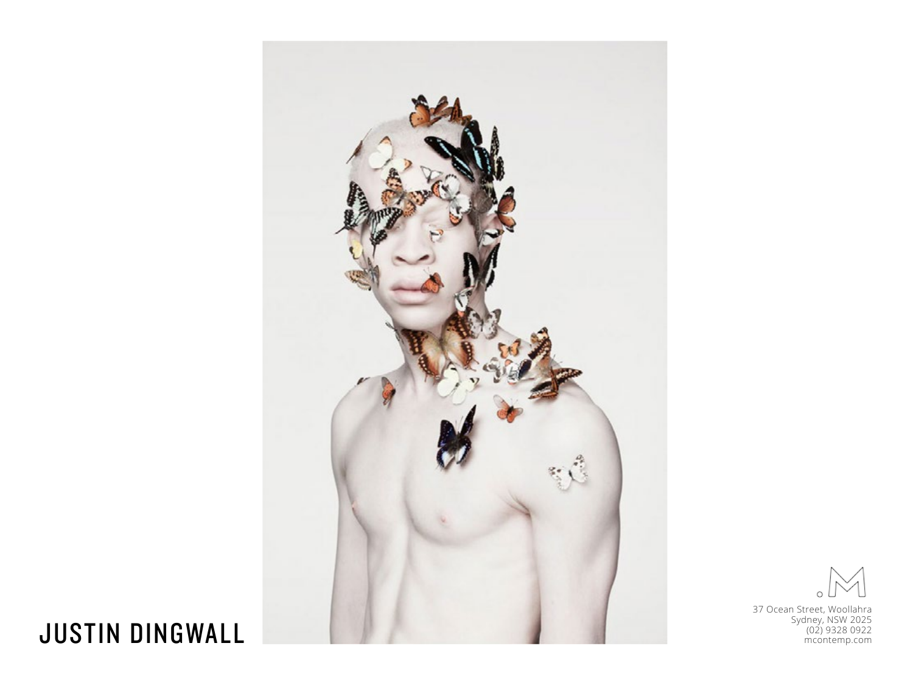

 $\circ$ 

37 Ocean Street, Woollahra Sydney, NSW 2025

## JUSTIN DINGWALL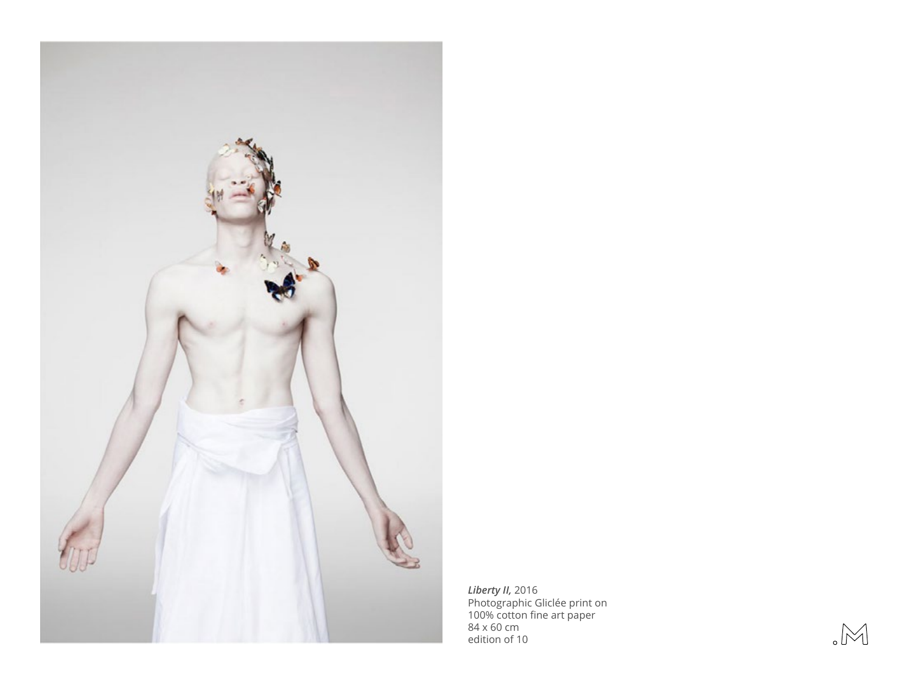

*Liberty II,* 2016 Photographic Gliclée print on 100% cotton fine art paper 84 x 60 cm edition of 10

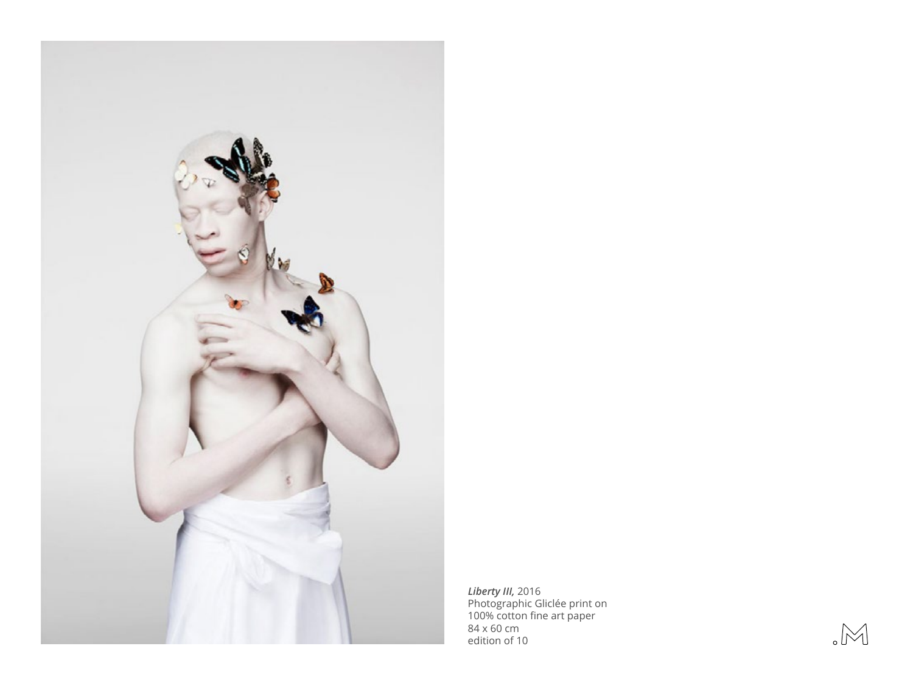

*Liberty III,* 2016 Photographic Gliclée print on 100% cotton fine art paper 84 x 60 cm edition of 10

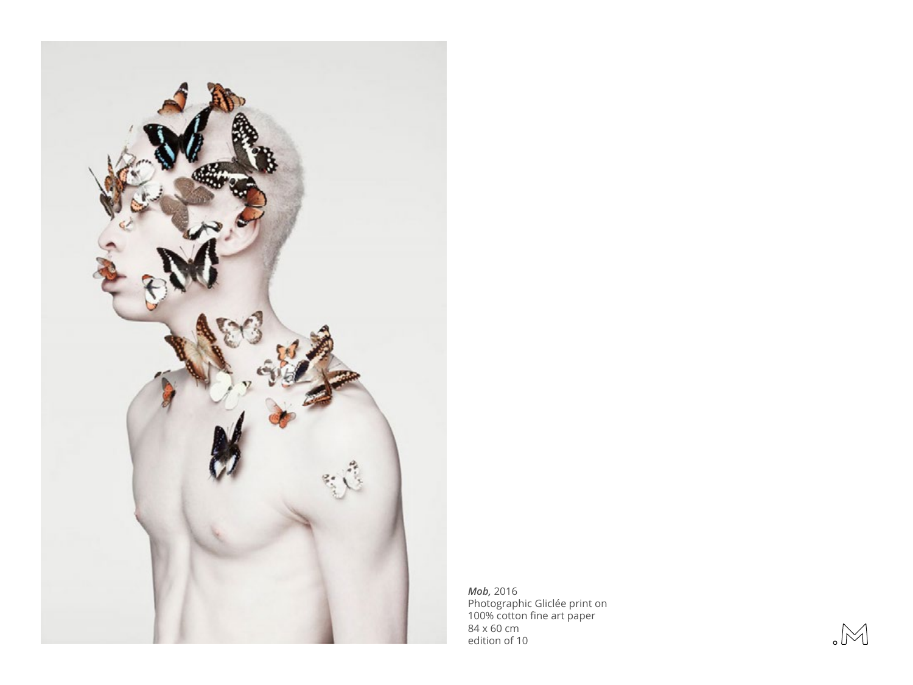

*Mob,* 2016 Photographic Gliclée print on 100% cotton fine art paper 84 x 60 cm edition of 10

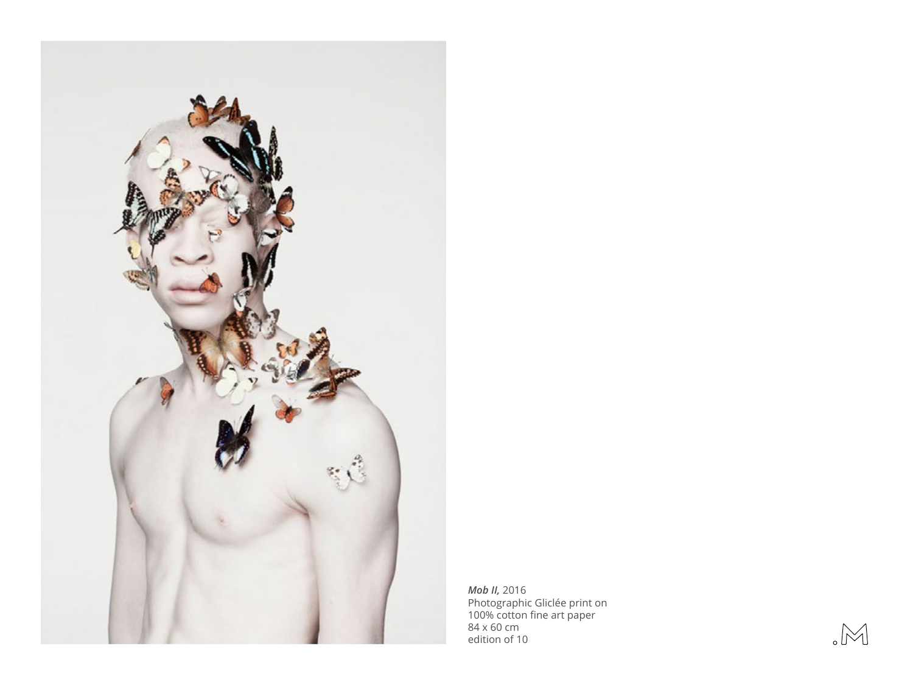

*Mob II,* 2016 Photographic Gliclée print on 100% cotton fine art paper 84 x 60 cm edition of 10

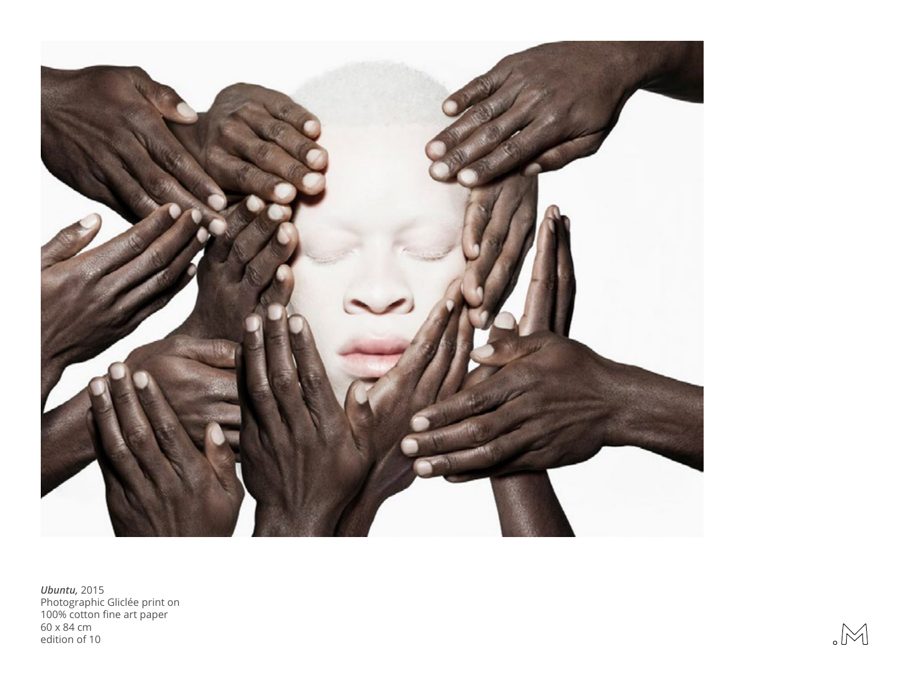

*Ubuntu,* 2015 Photographic Gliclée print on 100% cotton fine art paper 60 x 84 cm edition of 10

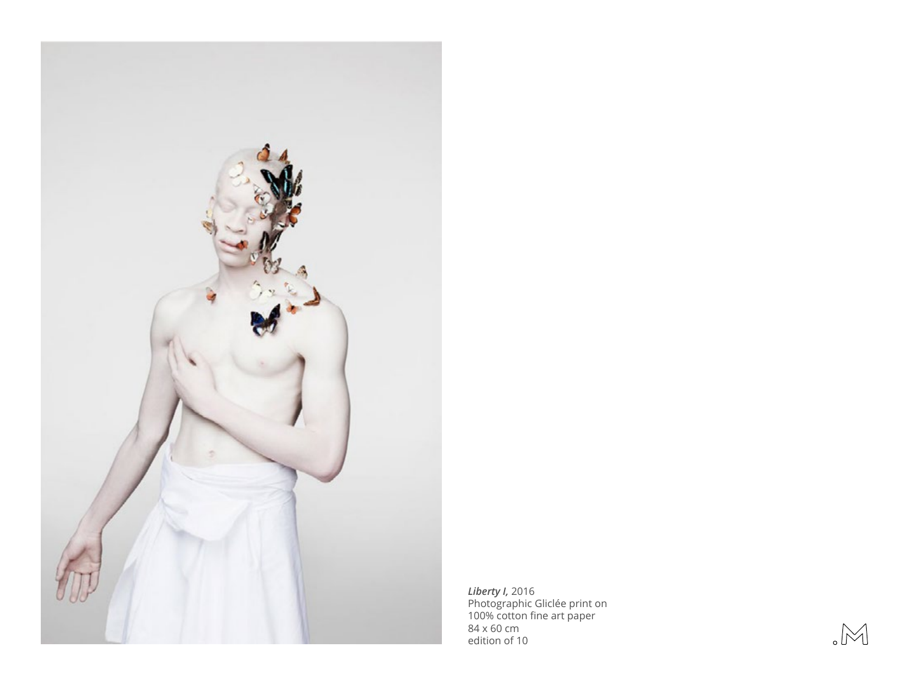

*Liberty I,* 2016 Photographic Gliclée print on 100% cotton fine art paper 84 x 60 cm edition of 10

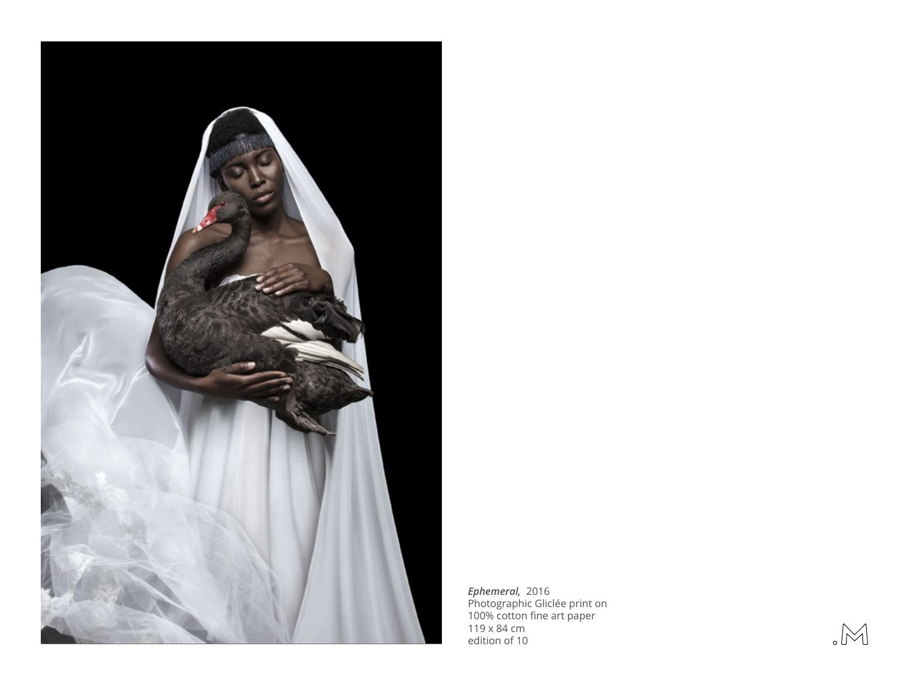

*Ephemeral,* 2016 Photographic Gliclée print on 100% cotton fine art paper 119 x 84 cm edition of 10

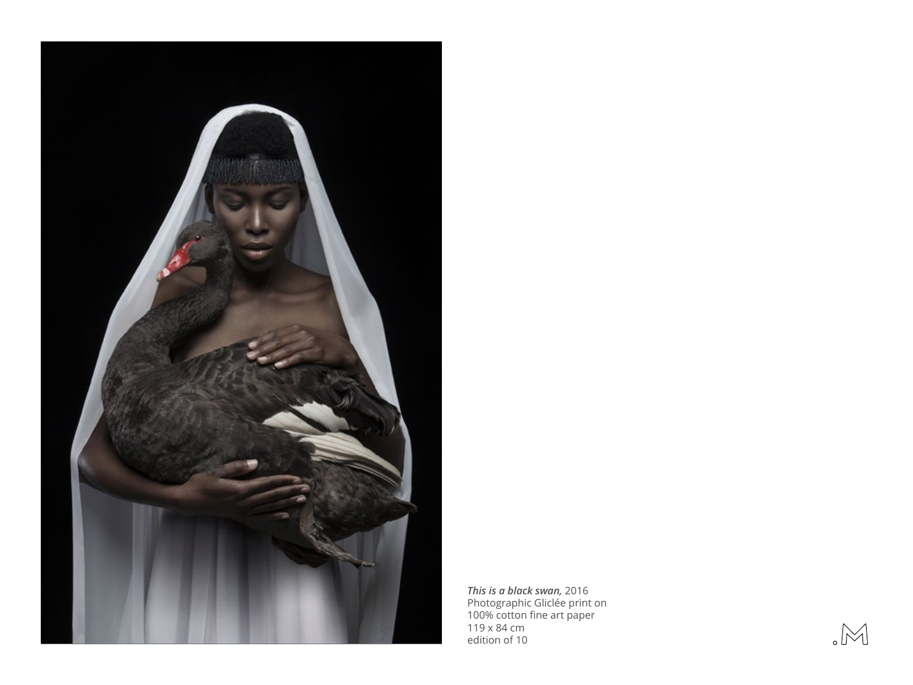

*This is a black swan,* 2016 Photographic Gliclée print on 100% cotton fine art paper 119 x 84 cm edition of 10

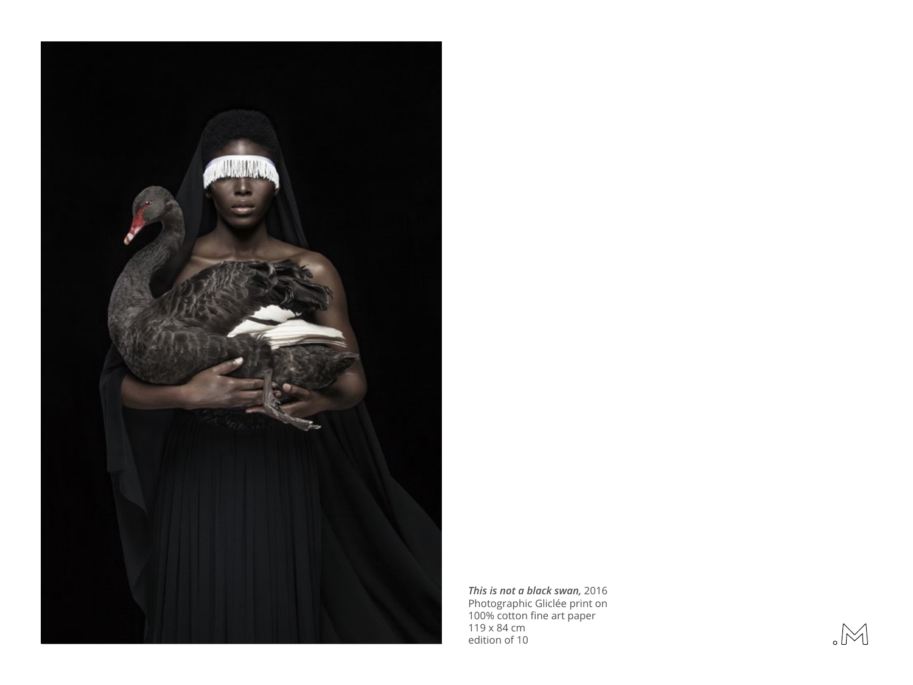

*This is not a black swan,* 2016 Photographic Gliclée print on 100% cotton fine art paper 119 x 84 cm edition of 10

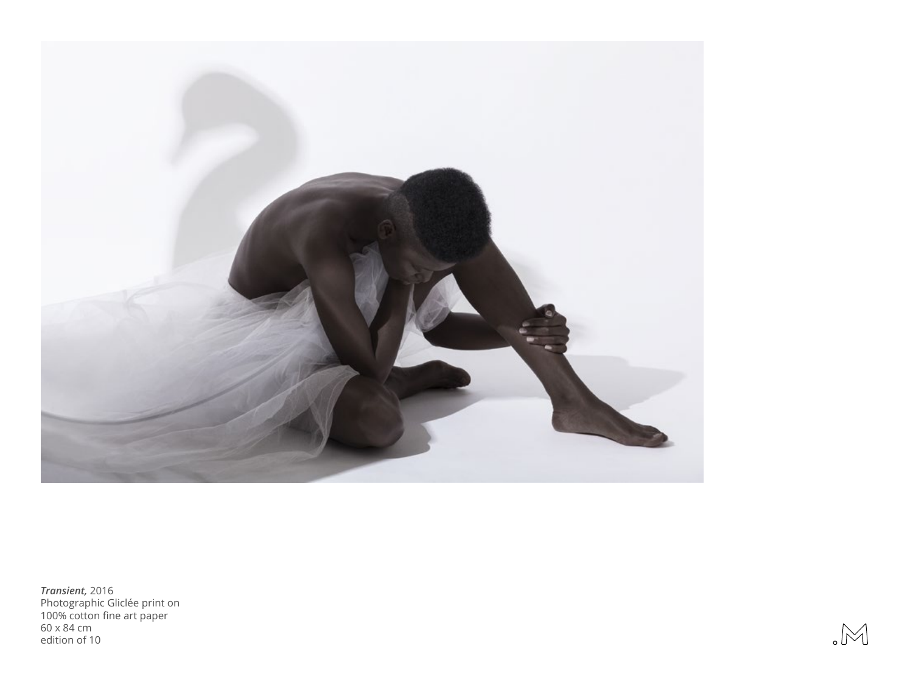

*Transient,* 2016 Photographic Gliclée print on 100% cotton fine art paper 60 x 84 cm edition of 10

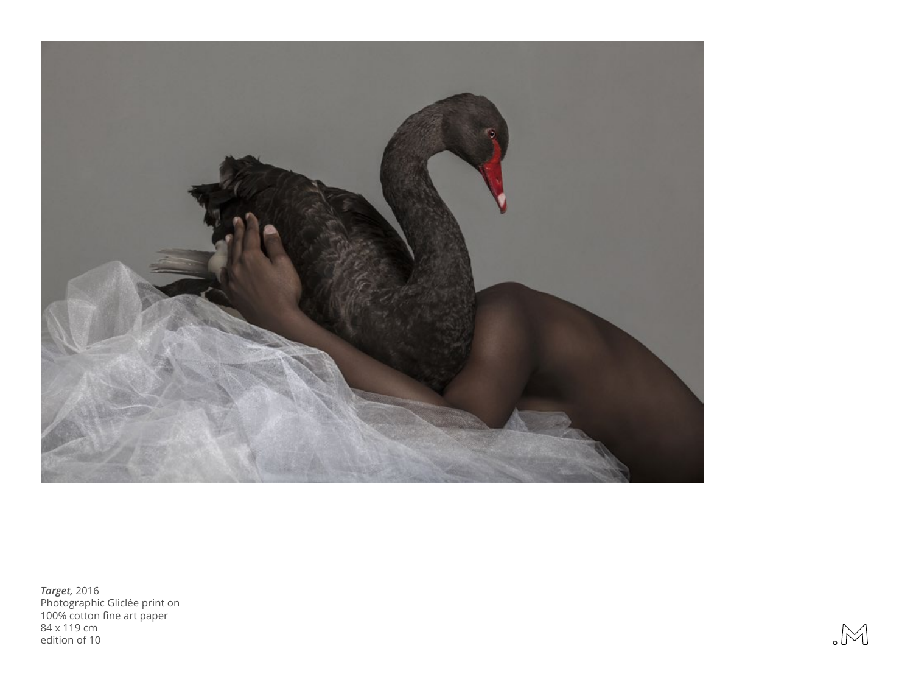

*Target,* 2016 Photographic Gliclée print on 100% cotton fine art paper 84 x 119 cm edition of 10

![](_page_11_Picture_2.jpeg)